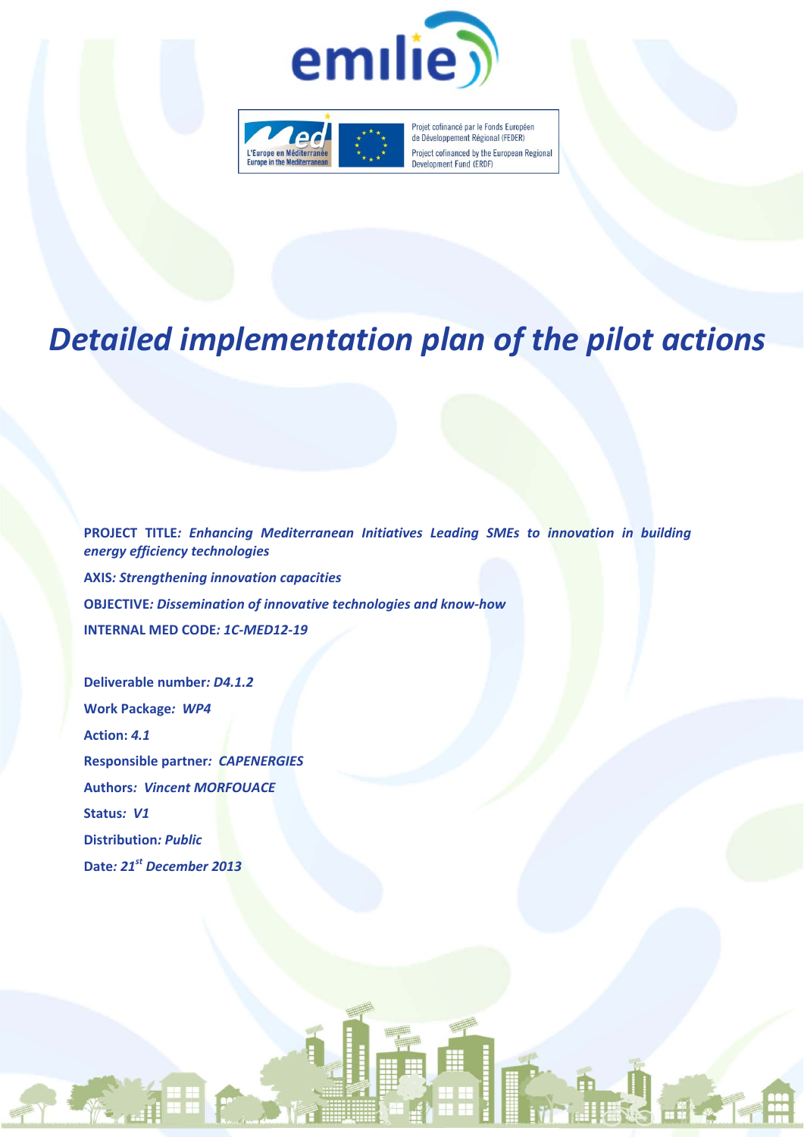



Projet cofinancé par le Fonds Européen de Développement Régional (FEDER) Project cofinanced by the European Regional Development Fund (ERDF)

# *Detailed implementation plan of the pilot actions*

**PROJECT TITLE***: Enhancing Mediterranean Initiatives Leading SMEs to innovation in building energy efficiency technologies* **AXIS***: Strengthening innovation capacities* **OBJECTIVE***: Dissemination of innovative technologies and know‐how* **INTERNAL MED CODE***: 1C‐MED12‐19*

**Deliverable number***: D4.1.2* **Work Package***: WP4* **Action:** *4.1* **Responsible partner***: CAPENERGIES* **Authors***: Vincent MORFOUACE* **Status***: V1* **Distribution***: Public* **Date***: 21st December 2013*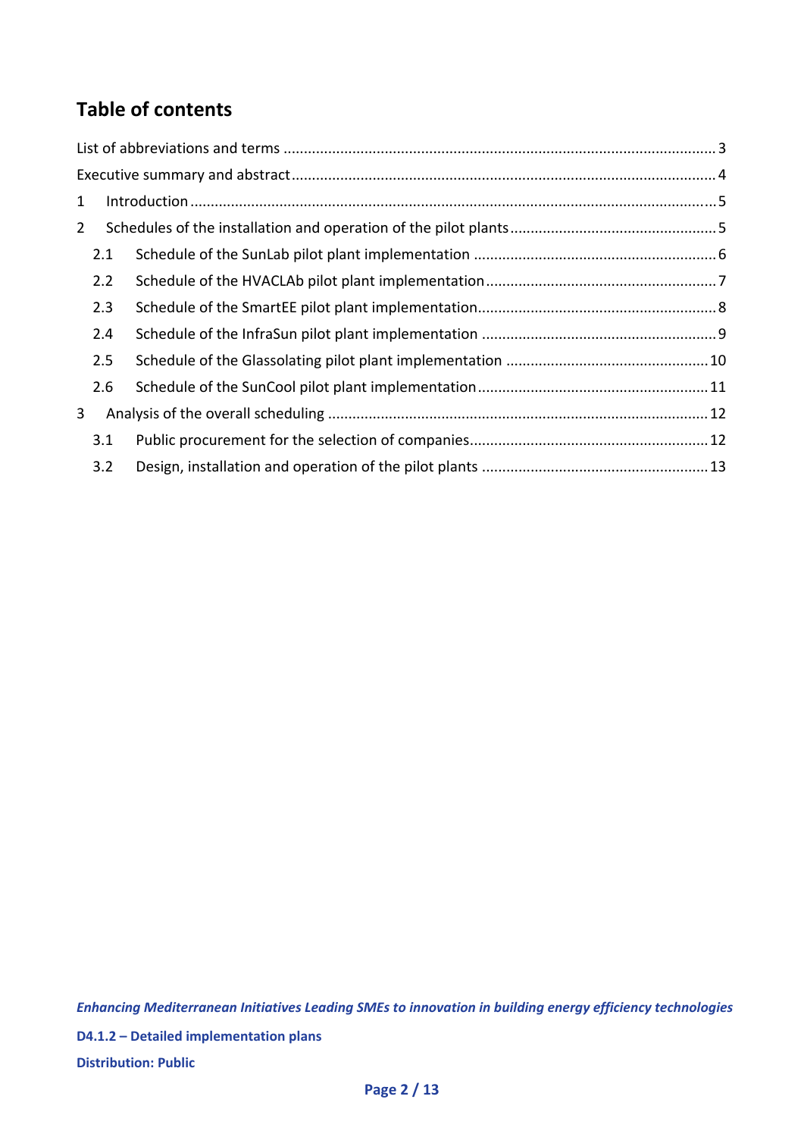# **Table of contents**

| $\mathbf{1}$   |     |  |
|----------------|-----|--|
| $\overline{2}$ |     |  |
|                | 2.1 |  |
|                | 2.2 |  |
|                | 2.3 |  |
|                | 2.4 |  |
|                | 2.5 |  |
|                | 2.6 |  |
| 3              |     |  |
|                | 3.1 |  |
|                | 3.2 |  |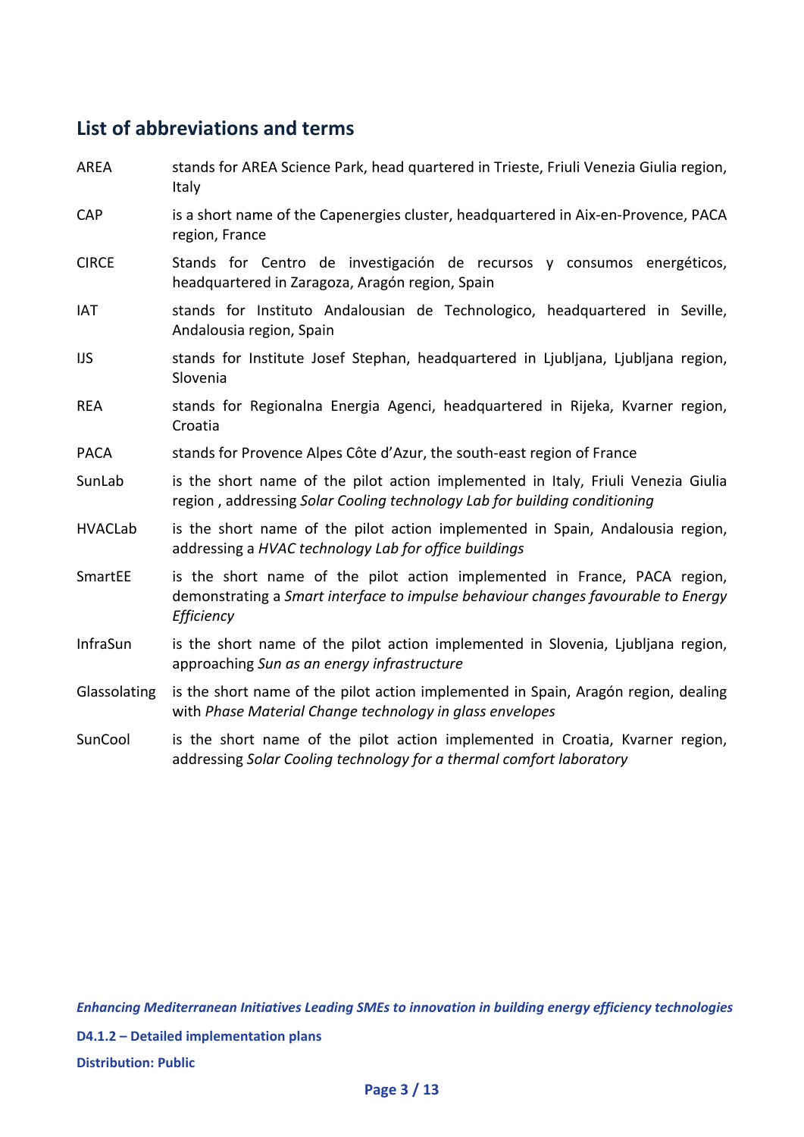# **List of abbreviations and terms**

| <b>AREA</b>     | stands for AREA Science Park, head quartered in Trieste, Friuli Venezia Giulia region,<br>Italy                                                                              |
|-----------------|------------------------------------------------------------------------------------------------------------------------------------------------------------------------------|
| <b>CAP</b>      | is a short name of the Capenergies cluster, headquartered in Aix-en-Provence, PACA<br>region, France                                                                         |
| <b>CIRCE</b>    | Stands for Centro de investigación de recursos y consumos energéticos,<br>headquartered in Zaragoza, Aragón region, Spain                                                    |
| <b>IAT</b>      | stands for Instituto Andalousian de Technologico, headquartered in Seville,<br>Andalousia region, Spain                                                                      |
| <b>IJS</b>      | stands for Institute Josef Stephan, headquartered in Ljubljana, Ljubljana region,<br>Slovenia                                                                                |
| <b>REA</b>      | stands for Regionalna Energia Agenci, headquartered in Rijeka, Kvarner region,<br>Croatia                                                                                    |
| <b>PACA</b>     | stands for Provence Alpes Côte d'Azur, the south-east region of France                                                                                                       |
| SunLab          | is the short name of the pilot action implemented in Italy, Friuli Venezia Giulia<br>region, addressing Solar Cooling technology Lab for building conditioning               |
| <b>HVACLab</b>  | is the short name of the pilot action implemented in Spain, Andalousia region,<br>addressing a HVAC technology Lab for office buildings                                      |
| SmartEE         | is the short name of the pilot action implemented in France, PACA region,<br>demonstrating a Smart interface to impulse behaviour changes favourable to Energy<br>Efficiency |
| <b>InfraSun</b> | is the short name of the pilot action implemented in Slovenia, Ljubljana region,<br>approaching Sun as an energy infrastructure                                              |
| Glassolating    | is the short name of the pilot action implemented in Spain, Aragón region, dealing<br>with Phase Material Change technology in glass envelopes                               |
| SunCool         | is the short name of the pilot action implemented in Croatia, Kvarner region,<br>addressing Solar Cooling technology for a thermal comfort laboratory                        |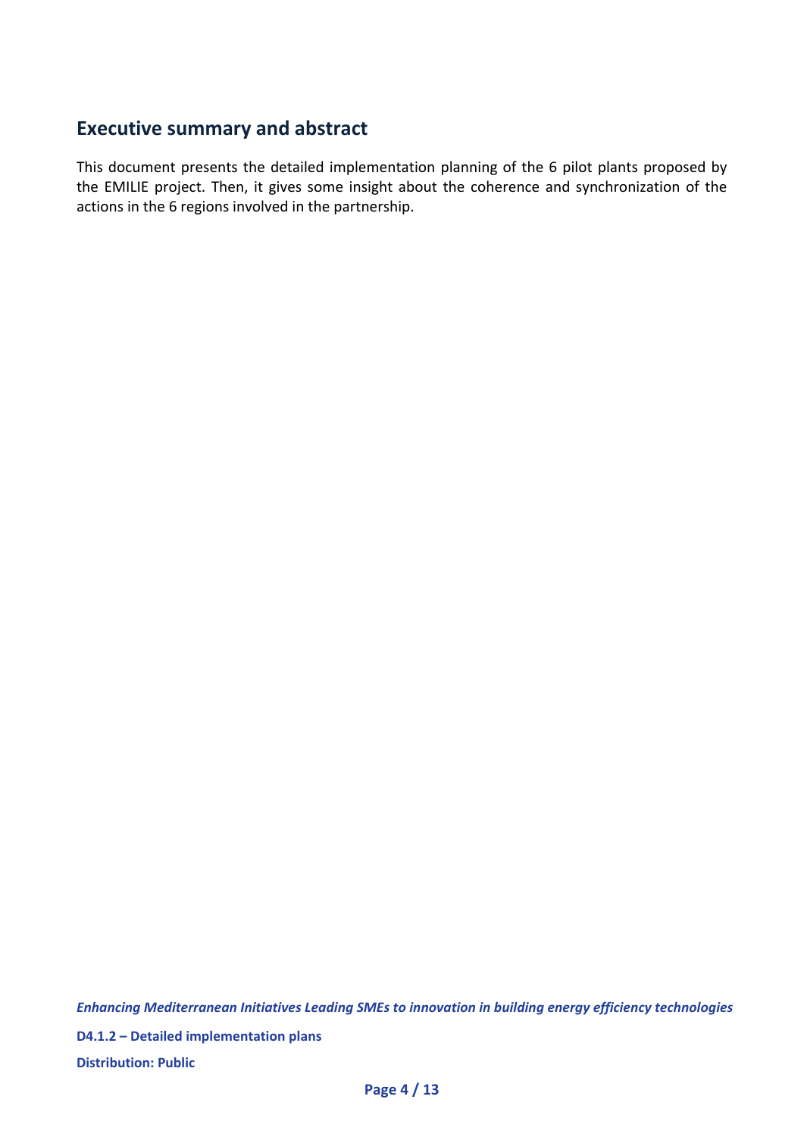## **Executive summary and abstract**

This document presents the detailed implementation planning of the 6 pilot plants proposed by the EMILIE project. Then, it gives some insight about the coherence and synchronization of the actions in the 6 regions involved in the partnership.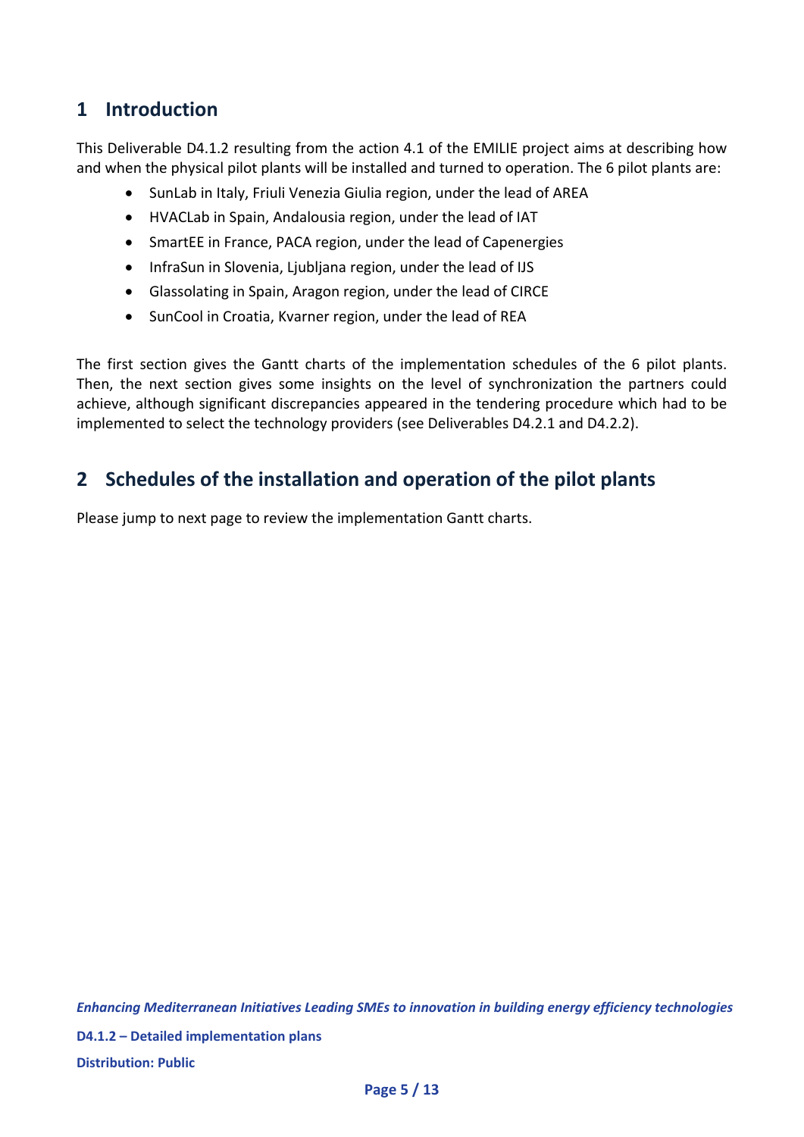## **1 Introduction**

This Deliverable D4.1.2 resulting from the action 4.1 of the EMILIE project aims at describing how and when the physical pilot plants will be installed and turned to operation. The 6 pilot plants are:

- SunLab in Italy, Friuli Venezia Giulia region, under the lead of AREA
- HVACLab in Spain, Andalousia region, under the lead of IAT
- SmartEE in France, PACA region, under the lead of Capenergies
- InfraSun in Slovenia, Ljubljana region, under the lead of IJS
- Glassolating in Spain, Aragon region, under the lead of CIRCE
- SunCool in Croatia, Kvarner region, under the lead of REA

The first section gives the Gantt charts of the implementation schedules of the 6 pilot plants. Then, the next section gives some insights on the level of synchronization the partners could achieve, although significant discrepancies appeared in the tendering procedure which had to be implemented to select the technology providers (see Deliverables D4.2.1 and D4.2.2).

## **2 Schedules of the installation and operation of the pilot plants**

Please jump to next page to review the implementation Gantt charts.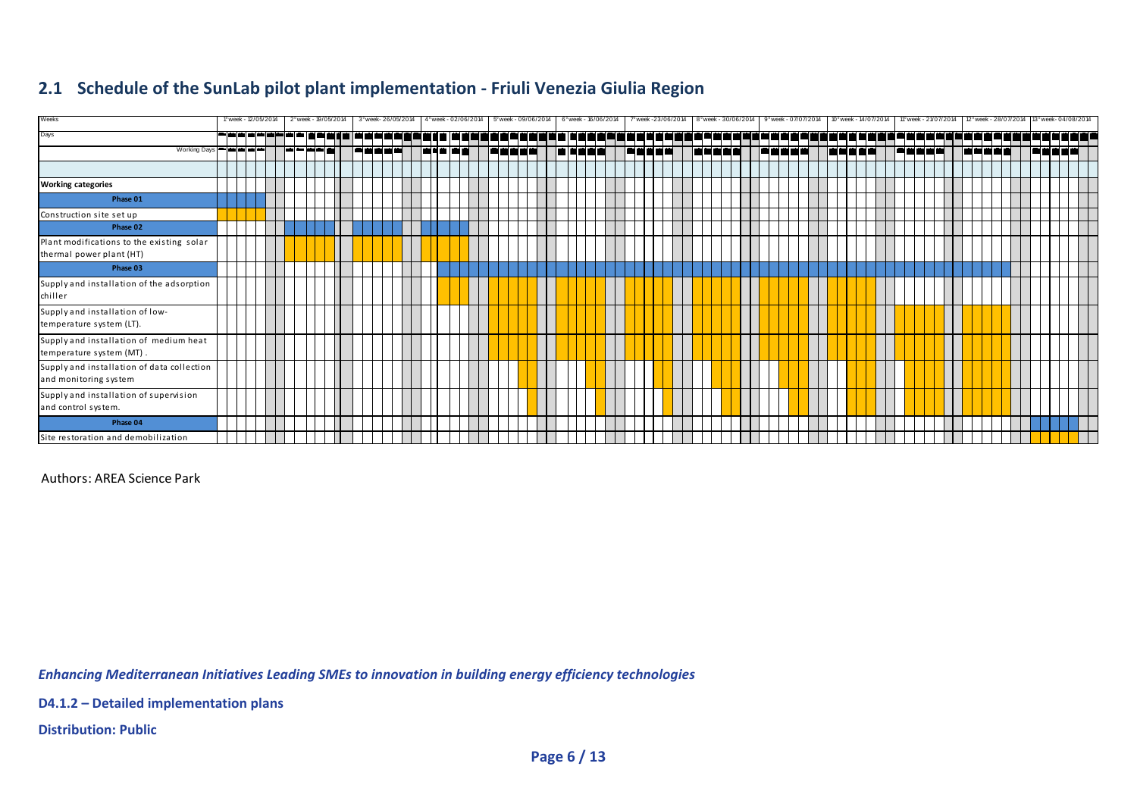#### **2.1 Schedule of the SunLab pilot plant implementation ‐ Friuli Venezia Giulia Region**

| Weeks                                                                 |  | 1° week - 12/05/2014                                      |  | 2° week - 19/05/2014 |  |  | 3° week- 26/05/2014 |  | 4° week - 02/06/2014 |  |  | 5° week - 09/06/2014           |  | 6° week - 16/06/2014 |  |      | 7° week -23/06/2014 |  |  | 8° week - 30/06/2014 |  | 9° week - 07/07/2014 |  |  | 10° week - 14/07/2014 |    | 11° week - 21/07/2014 |  |  |  |  | 12° week - 28/07/2014 13° week - 04/08/2014 |  |
|-----------------------------------------------------------------------|--|-----------------------------------------------------------|--|----------------------|--|--|---------------------|--|----------------------|--|--|--------------------------------|--|----------------------|--|------|---------------------|--|--|----------------------|--|----------------------|--|--|-----------------------|----|-----------------------|--|--|--|--|---------------------------------------------|--|
| Days                                                                  |  | <b> <del>─</del> ━ ━ ━ ━ ━ ━ ━ ━ ━ </b> ━ ━ ━ ━ ━ ━ ━ ━ ━ |  |                      |  |  |                     |  |                      |  |  | <u>नवन   नननन ननन नननना नन</u> |  |                      |  | da i | --------            |  |  |                      |  |                      |  |  |                       | ┑┑ |                       |  |  |  |  | <u>-------------</u>                        |  |
| Working Days <b>Property and Part</b>                                 |  |                                                           |  |                      |  |  |                     |  |                      |  |  |                                |  |                      |  |      |                     |  |  |                      |  |                      |  |  |                       |    |                       |  |  |  |  |                                             |  |
|                                                                       |  |                                                           |  |                      |  |  |                     |  |                      |  |  |                                |  |                      |  |      |                     |  |  |                      |  |                      |  |  |                       |    |                       |  |  |  |  |                                             |  |
| <b>Working categories</b>                                             |  |                                                           |  |                      |  |  |                     |  |                      |  |  |                                |  |                      |  |      |                     |  |  |                      |  |                      |  |  |                       |    |                       |  |  |  |  |                                             |  |
| Phase 01                                                              |  |                                                           |  |                      |  |  |                     |  |                      |  |  |                                |  |                      |  |      |                     |  |  |                      |  |                      |  |  |                       |    |                       |  |  |  |  |                                             |  |
| Construction site set up                                              |  |                                                           |  |                      |  |  |                     |  |                      |  |  |                                |  |                      |  |      |                     |  |  |                      |  |                      |  |  |                       |    |                       |  |  |  |  |                                             |  |
| Phase 02                                                              |  |                                                           |  |                      |  |  |                     |  |                      |  |  |                                |  |                      |  |      |                     |  |  |                      |  |                      |  |  |                       |    |                       |  |  |  |  |                                             |  |
| Plant modifications to the existing solar<br>thermal power plant (HT) |  |                                                           |  |                      |  |  |                     |  |                      |  |  |                                |  |                      |  |      |                     |  |  |                      |  |                      |  |  |                       |    |                       |  |  |  |  |                                             |  |
| Phase 03                                                              |  |                                                           |  |                      |  |  |                     |  |                      |  |  |                                |  |                      |  |      |                     |  |  |                      |  |                      |  |  |                       |    |                       |  |  |  |  |                                             |  |
| Supply and installation of the adsorption<br>chiller                  |  |                                                           |  |                      |  |  |                     |  |                      |  |  |                                |  |                      |  |      |                     |  |  |                      |  |                      |  |  |                       |    |                       |  |  |  |  |                                             |  |
| Supply and installation of low-<br>temperature system (LT).           |  |                                                           |  |                      |  |  |                     |  |                      |  |  |                                |  |                      |  |      |                     |  |  |                      |  |                      |  |  |                       |    |                       |  |  |  |  |                                             |  |
| Supply and installation of medium heat<br>temperature system (MT).    |  |                                                           |  |                      |  |  |                     |  |                      |  |  |                                |  |                      |  |      |                     |  |  |                      |  |                      |  |  |                       |    |                       |  |  |  |  |                                             |  |
| Supply and installation of data collection<br>and monitoring system   |  |                                                           |  |                      |  |  |                     |  |                      |  |  |                                |  |                      |  |      |                     |  |  |                      |  |                      |  |  |                       |    |                       |  |  |  |  |                                             |  |
| Supply and installation of supervision<br>and control system.         |  |                                                           |  |                      |  |  |                     |  |                      |  |  |                                |  |                      |  |      |                     |  |  |                      |  |                      |  |  |                       |    |                       |  |  |  |  |                                             |  |
| Phase 04                                                              |  |                                                           |  |                      |  |  |                     |  |                      |  |  |                                |  |                      |  |      |                     |  |  |                      |  |                      |  |  |                       |    |                       |  |  |  |  |                                             |  |
| Site restoration and demobilization                                   |  |                                                           |  |                      |  |  |                     |  |                      |  |  |                                |  |                      |  |      |                     |  |  |                      |  |                      |  |  |                       |    |                       |  |  |  |  |                                             |  |

Authors: AREA Science Park

*Enhancing Mediterranean Initiatives Leading SMEs to innovation in building energy efficiency technologies*

**D4.1.2 – Detailed implementation plans**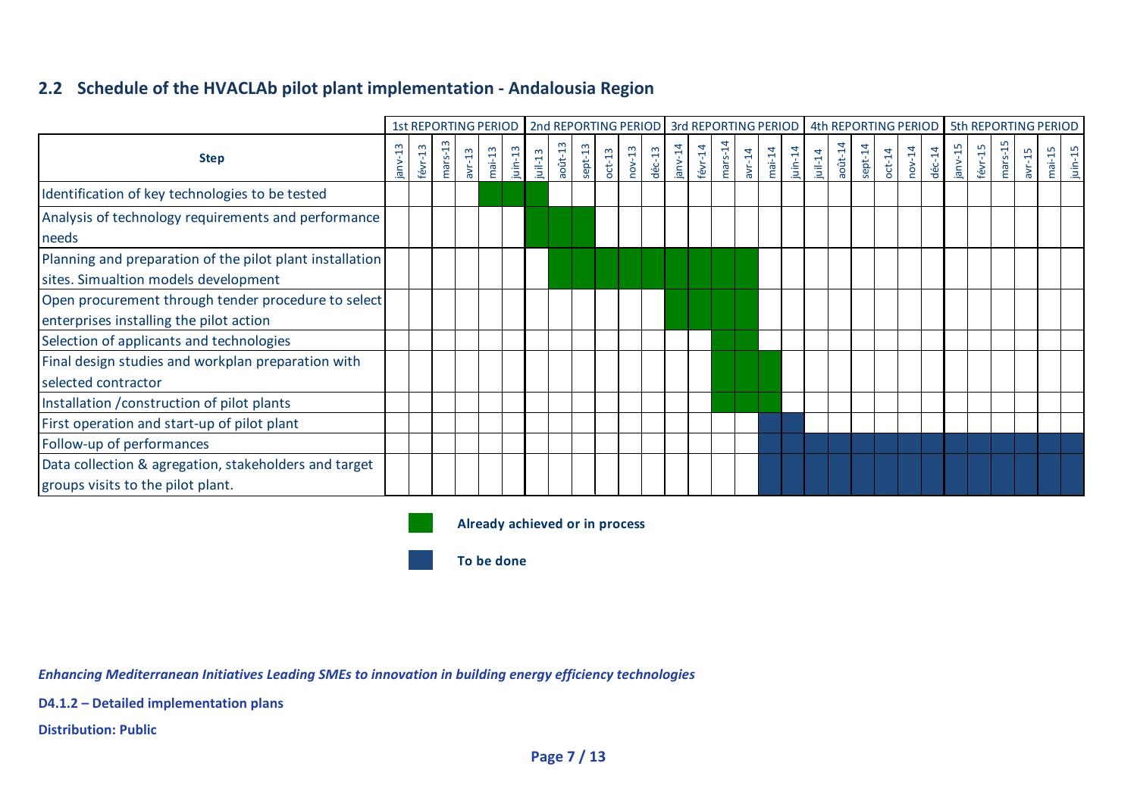#### **2.2 Schedule of the HVACLAb pilot plant implementation ‐ Andalousia Region**

|                                                                                                  |        |            |           |          |          |            |            |            |         |          |          |                  |         |            |           |        |          |            |            |            |         |          |        |          |         |         |         |          | 1st REPORTING PERIOD   2nd REPORTING PERIOD   3rd REPORTING PERIOD   4th REPORTING PERIOD   5th REPORTING PERIOD |         |
|--------------------------------------------------------------------------------------------------|--------|------------|-----------|----------|----------|------------|------------|------------|---------|----------|----------|------------------|---------|------------|-----------|--------|----------|------------|------------|------------|---------|----------|--------|----------|---------|---------|---------|----------|------------------------------------------------------------------------------------------------------------------|---------|
| <b>Step</b>                                                                                      | janv-1 | $f$ évr-13 | $mars-13$ | $avr-13$ | $mai-13$ | $j$ uin-13 | $j$ uil-13 | $a$ oût-13 | sept-13 | $oct-13$ | $nov-13$ | $d\acute{e}c-13$ | janv-14 | $f$ évr-14 | $mars-14$ | avr-14 | $mai-14$ | $j$ uin-14 | $j$ uil-14 | $a$ oût-14 | sept-14 | $oct-14$ | nov-14 | $dec-14$ | janv-15 | févr-15 | mars-1! | $avr-15$ | $mai-15$                                                                                                         | juin-15 |
| Identification of key technologies to be tested                                                  |        |            |           |          |          |            |            |            |         |          |          |                  |         |            |           |        |          |            |            |            |         |          |        |          |         |         |         |          |                                                                                                                  |         |
| Analysis of technology requirements and performance<br>needs                                     |        |            |           |          |          |            |            |            |         |          |          |                  |         |            |           |        |          |            |            |            |         |          |        |          |         |         |         |          |                                                                                                                  |         |
| Planning and preparation of the pilot plant installation<br>sites. Simualtion models development |        |            |           |          |          |            |            |            |         |          |          |                  |         |            |           |        |          |            |            |            |         |          |        |          |         |         |         |          |                                                                                                                  |         |
| Open procurement through tender procedure to select<br>enterprises installing the pilot action   |        |            |           |          |          |            |            |            |         |          |          |                  |         |            |           |        |          |            |            |            |         |          |        |          |         |         |         |          |                                                                                                                  |         |
| Selection of applicants and technologies                                                         |        |            |           |          |          |            |            |            |         |          |          |                  |         |            |           |        |          |            |            |            |         |          |        |          |         |         |         |          |                                                                                                                  |         |
| Final design studies and workplan preparation with<br>selected contractor                        |        |            |           |          |          |            |            |            |         |          |          |                  |         |            |           |        |          |            |            |            |         |          |        |          |         |         |         |          |                                                                                                                  |         |
| Installation / construction of pilot plants                                                      |        |            |           |          |          |            |            |            |         |          |          |                  |         |            |           |        |          |            |            |            |         |          |        |          |         |         |         |          |                                                                                                                  |         |
| First operation and start-up of pilot plant                                                      |        |            |           |          |          |            |            |            |         |          |          |                  |         |            |           |        |          |            |            |            |         |          |        |          |         |         |         |          |                                                                                                                  |         |
| Follow-up of performances                                                                        |        |            |           |          |          |            |            |            |         |          |          |                  |         |            |           |        |          |            |            |            |         |          |        |          |         |         |         |          |                                                                                                                  |         |
| Data collection & agregation, stakeholders and target<br>groups visits to the pilot plant.       |        |            |           |          |          |            |            |            |         |          |          |                  |         |            |           |        |          |            |            |            |         |          |        |          |         |         |         |          |                                                                                                                  |         |



**Already achieved or in process**

**To be done**

*Enhancing Mediterranean Initiatives Leading SMEs to innovation in building energy efficiency technologies*

**D4.1.2 – Detailed implementation plans**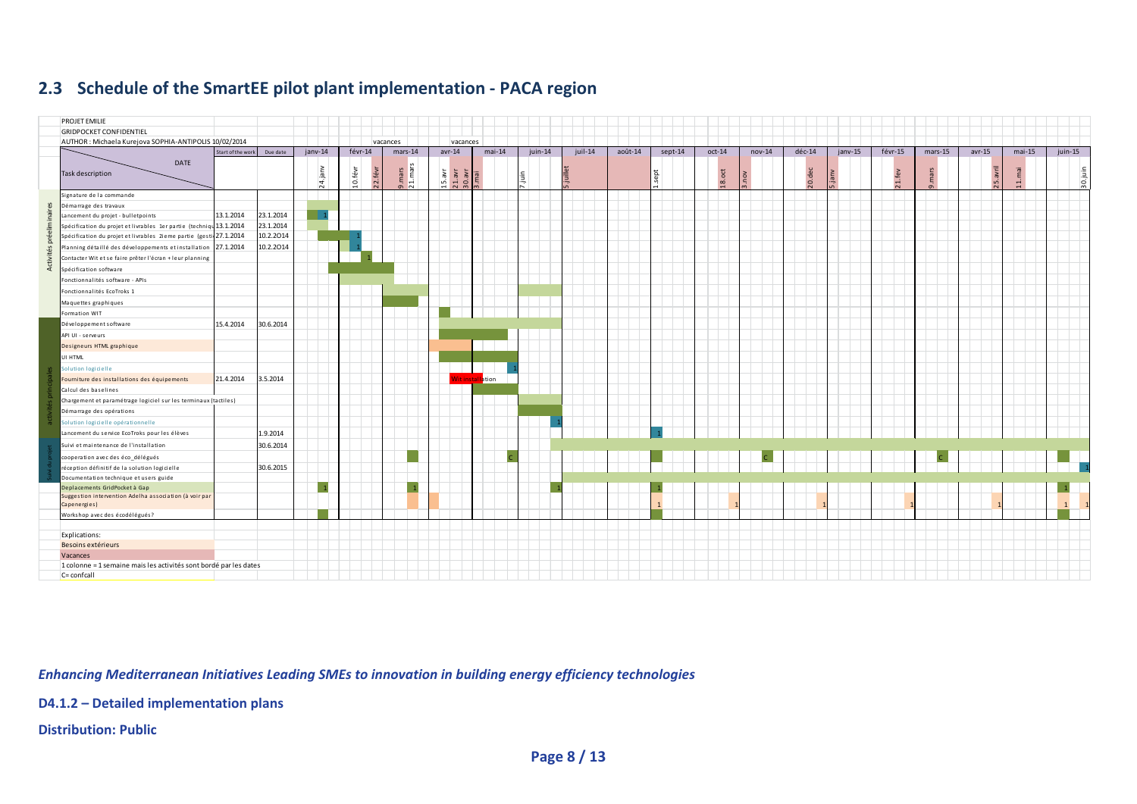#### **2.3 Schedule of the SmartEE pilot plant implementation ‐ PACA region**



*Enhancing Mediterranean Initiatives Leading SMEs to innovation in building energy efficiency technologies*

**D4.1.2 – Detailed implementation plans**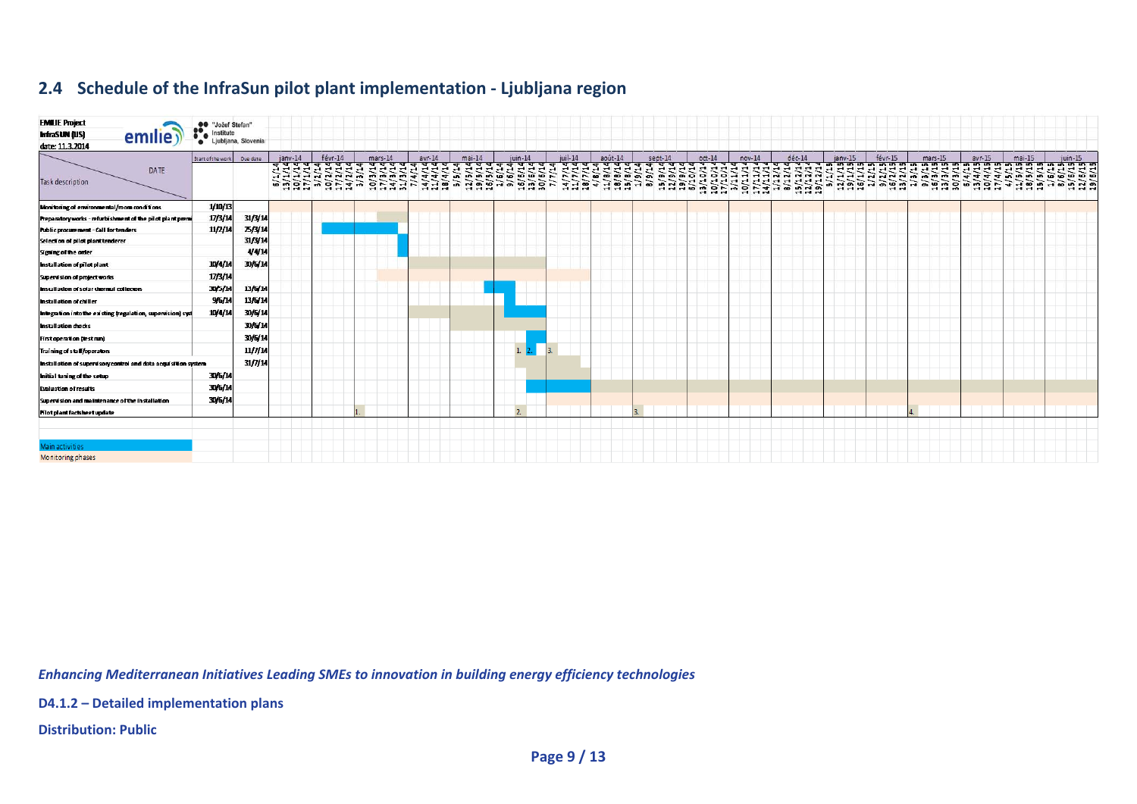#### **2.4 Schedule of the InfraSun pilot plant implementation ‐ Ljubljana region**

| <b>EMILIE Project</b><br>InfraSUN (US)<br>emilie <sup>®</sup><br>date: 11.3.2014 | <b>OO</b> "Jožef Stefan"<br>Institute<br>$\bullet$ | Ljubljana, Slovenia |           |                              |                              |                 |                                             |                      |            |         |         |          |          |          |         |         |                                                                                                                                                                                                                                                                                                                                                                                                                                                                                                                                            |          |          |            |
|----------------------------------------------------------------------------------|----------------------------------------------------|---------------------|-----------|------------------------------|------------------------------|-----------------|---------------------------------------------|----------------------|------------|---------|---------|----------|----------|----------|---------|---------|--------------------------------------------------------------------------------------------------------------------------------------------------------------------------------------------------------------------------------------------------------------------------------------------------------------------------------------------------------------------------------------------------------------------------------------------------------------------------------------------------------------------------------------------|----------|----------|------------|
| DATE<br>Task description                                                         | Start of the work Due date                         |                     | $ianv-14$ | févr-14<br>H H H H H N N H H | mars-14<br>mmmm <del>u</del> | $avr-14$<br>444 | $mai-14$<br><b>10 ID</b><br><b>AD</b><br>மை | juin-14<br>$\bullet$ | $i$ uil-14 | août-14 | sept-14 | $oct-14$ | $nov-14$ | $dec-14$ | jany-15 | févr-15 | $mars-15$<br>ৰৰৰ ৰয় আৰু পৰাৰ প্ৰাৰ পৰাৰ বিৰাৰ পৰা পৰাৰ পৰাৰ বৰ পৰাৰ পৰিবৰ পৰাৰ পৰাৰ পৰাৰ পৰিচাল অভাৱত অভাৱত অভিযোগিত অভিযোগ<br>প্ৰ্যান্ত্ৰৰ পৰাত্ত্ব প্ৰতি প্ৰতিপৰাত্ত্ব ত্ৰ্যান্ত বৰ্তন অভিযান্ত্ৰ ব্ৰিত ব্ৰিত্ত্ব পৰাৰ সকলৰ সময়তা সময়তা<br>じゅうこ ここつう ううつうり うららつ ココココ フリコスツ アルツ アクチュア アツアクアクタク<br>n 1999 - 1999 - 1999 - 1999 - 1999 - 1999 - 1999 - 1999 - 1999 - 1999 - 1999 - 1999 - 1999 - 1999 - 1999 - 199<br>2009 - 1999 - 1999 - 1999 - 1999 - 1999 - 1999 - 1999 - 1999 - 1999 - 1999 - 1999 - 1999 - 1999 - 1999 - 1999<br>2 | $avr-15$ | $mai-15$ | $i$ uin-15 |
| Monitoring of environmental/room conditions                                      | 1/10/13                                            |                     |           |                              |                              |                 |                                             |                      |            |         |         |          |          |          |         |         |                                                                                                                                                                                                                                                                                                                                                                                                                                                                                                                                            |          |          |            |
| Preparatory works - refurbishment of the pilot plant premi                       | 17/3/14                                            | 31/3/14             |           |                              |                              |                 |                                             |                      |            |         |         |          |          |          |         |         |                                                                                                                                                                                                                                                                                                                                                                                                                                                                                                                                            |          |          |            |
| <b>Public procurement - Call for tenders</b>                                     | 11/2/14                                            | <b>25/3/14</b>      |           |                              |                              |                 |                                             |                      |            |         |         |          |          |          |         |         |                                                                                                                                                                                                                                                                                                                                                                                                                                                                                                                                            |          |          |            |
| Selection of pilot plant tenderer                                                |                                                    | 31/3/14             |           |                              |                              |                 |                                             |                      |            |         |         |          |          |          |         |         |                                                                                                                                                                                                                                                                                                                                                                                                                                                                                                                                            |          |          |            |
| Signing of the order                                                             |                                                    | 4/4/14              |           |                              |                              |                 |                                             |                      |            |         |         |          |          |          |         |         |                                                                                                                                                                                                                                                                                                                                                                                                                                                                                                                                            |          |          |            |
| <b>Installation of pilot plant</b>                                               | 10/4/14                                            | 30/6/14             |           |                              |                              |                 |                                             |                      |            |         |         |          |          |          |         |         |                                                                                                                                                                                                                                                                                                                                                                                                                                                                                                                                            |          |          |            |
| Supervision of project works                                                     | 17/3/14                                            |                     |           |                              |                              |                 |                                             |                      |            |         |         |          |          |          |         |         |                                                                                                                                                                                                                                                                                                                                                                                                                                                                                                                                            |          |          |            |
| Installation of solar thermal collectors                                         | 30/5/11                                            | 13/6/14             |           |                              |                              |                 |                                             |                      |            |         |         |          |          |          |         |         |                                                                                                                                                                                                                                                                                                                                                                                                                                                                                                                                            |          |          |            |
| Installation of chiller                                                          | 9/6/14                                             | 13/6/14             |           |                              |                              |                 |                                             |                      |            |         |         |          |          |          |         |         |                                                                                                                                                                                                                                                                                                                                                                                                                                                                                                                                            |          |          |            |
| Integration into the existing tregulation, supervision) syst                     | 11/4/14                                            | 30/6/14             |           |                              |                              |                 |                                             |                      |            |         |         |          |          |          |         |         |                                                                                                                                                                                                                                                                                                                                                                                                                                                                                                                                            |          |          |            |
| <b>Installation checks</b>                                                       |                                                    | 30/6/14             |           |                              |                              |                 |                                             |                      |            |         |         |          |          |          |         |         |                                                                                                                                                                                                                                                                                                                                                                                                                                                                                                                                            |          |          |            |
| <b>First operation (test run)</b>                                                |                                                    | 30/6/14             |           |                              |                              |                 |                                             |                      |            |         |         |          |          |          |         |         |                                                                                                                                                                                                                                                                                                                                                                                                                                                                                                                                            |          |          |            |
| Training of staff/operators                                                      |                                                    | 11/7/14             |           |                              |                              |                 |                                             | 1. 2.                | <b>В.</b>  |         |         |          |          |          |         |         |                                                                                                                                                                                                                                                                                                                                                                                                                                                                                                                                            |          |          |            |
| Installation of supervisory control and data acquisition system                  |                                                    | 31/7/14             |           |                              |                              |                 |                                             |                      |            |         |         |          |          |          |         |         |                                                                                                                                                                                                                                                                                                                                                                                                                                                                                                                                            |          |          |            |
| Initial tuning of the setup                                                      | 30/6/14                                            |                     |           |                              |                              |                 |                                             |                      |            |         |         |          |          |          |         |         |                                                                                                                                                                                                                                                                                                                                                                                                                                                                                                                                            |          |          |            |
| <b>Evaluation of results</b>                                                     | 30/6/14                                            |                     |           |                              |                              |                 |                                             |                      |            |         |         |          |          |          |         |         |                                                                                                                                                                                                                                                                                                                                                                                                                                                                                                                                            |          |          |            |
| Supervision and maintenance of the installation                                  | 30/6/14                                            |                     |           |                              |                              |                 |                                             |                      |            |         |         |          |          |          |         |         |                                                                                                                                                                                                                                                                                                                                                                                                                                                                                                                                            |          |          |            |
| <b>Motplant factsheet update</b>                                                 |                                                    |                     |           |                              |                              |                 |                                             | 2.                   |            |         |         |          |          |          |         |         |                                                                                                                                                                                                                                                                                                                                                                                                                                                                                                                                            |          |          |            |
|                                                                                  |                                                    |                     |           |                              |                              |                 |                                             |                      |            |         |         |          |          |          |         |         |                                                                                                                                                                                                                                                                                                                                                                                                                                                                                                                                            |          |          |            |
| Main activities                                                                  |                                                    |                     |           |                              |                              |                 |                                             |                      |            |         |         |          |          |          |         |         |                                                                                                                                                                                                                                                                                                                                                                                                                                                                                                                                            |          |          |            |
| Monitoring phases                                                                |                                                    |                     |           |                              |                              |                 |                                             |                      |            |         |         |          |          |          |         |         |                                                                                                                                                                                                                                                                                                                                                                                                                                                                                                                                            |          |          |            |

*Enhancing Mediterranean Initiatives Leading SMEs to innovation in building energy efficiency technologies*

**D4.1.2 – Detailed implementation plans**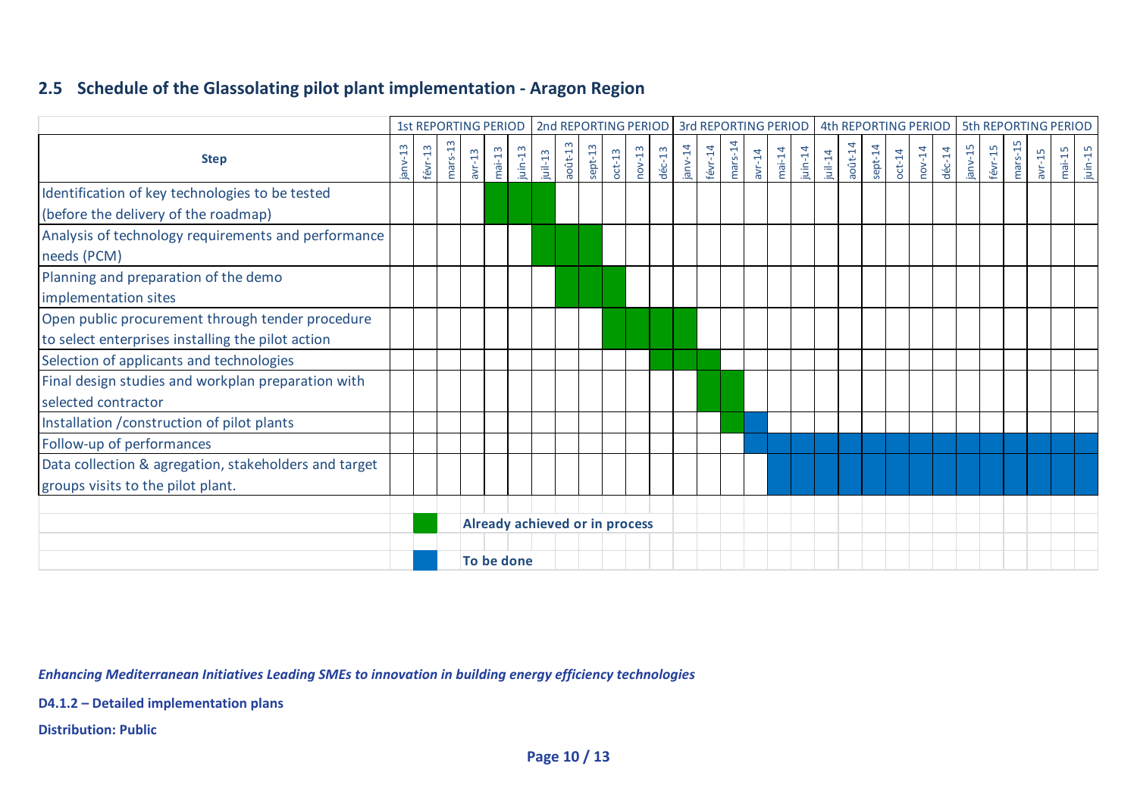#### **2.5 Schedule of the Glassolating pilot plant implementation ‐ Aragon Region**

|                                                                                                       |         |         |           |          | 1st REPORTING PERIOD           |            |            |            |         |          |          |                  |            |         |           |          |          |            |            |            |         |          |          |                  |           |         |         |          | 2nd REPORTING PERIOD 3rd REPORTING PERIOD 4th REPORTING PERIOD   5th REPORTING PERIOD |            |
|-------------------------------------------------------------------------------------------------------|---------|---------|-----------|----------|--------------------------------|------------|------------|------------|---------|----------|----------|------------------|------------|---------|-----------|----------|----------|------------|------------|------------|---------|----------|----------|------------------|-----------|---------|---------|----------|---------------------------------------------------------------------------------------|------------|
| <b>Step</b>                                                                                           | janv-13 | févr-13 | $mars-13$ | $avr-13$ | $mai-13$                       | $j$ uin-13 | $j$ uil-13 | $a$ oût-13 | sept-13 | $oct-13$ | $nov-13$ | $d\acute{e}c-13$ | $j$ anv-14 | févr-14 | $mars-14$ | $avr-14$ | $mai-14$ | $j$ uin-14 | $j$ uil-14 | $a$ oût-14 | sept-14 | $oct-14$ | $nov-14$ | $d\acute{e}c-14$ | $janv-15$ | févr-15 | mars-15 | $avr-15$ | $mai-15$                                                                              | $j$ uin-15 |
| Identification of key technologies to be tested<br>(before the delivery of the roadmap)               |         |         |           |          |                                |            |            |            |         |          |          |                  |            |         |           |          |          |            |            |            |         |          |          |                  |           |         |         |          |                                                                                       |            |
| Analysis of technology requirements and performance<br>needs (PCM)                                    |         |         |           |          |                                |            |            |            |         |          |          |                  |            |         |           |          |          |            |            |            |         |          |          |                  |           |         |         |          |                                                                                       |            |
| Planning and preparation of the demo<br>implementation sites                                          |         |         |           |          |                                |            |            |            |         |          |          |                  |            |         |           |          |          |            |            |            |         |          |          |                  |           |         |         |          |                                                                                       |            |
| Open public procurement through tender procedure<br>to select enterprises installing the pilot action |         |         |           |          |                                |            |            |            |         |          |          |                  |            |         |           |          |          |            |            |            |         |          |          |                  |           |         |         |          |                                                                                       |            |
| Selection of applicants and technologies                                                              |         |         |           |          |                                |            |            |            |         |          |          |                  |            |         |           |          |          |            |            |            |         |          |          |                  |           |         |         |          |                                                                                       |            |
| Final design studies and workplan preparation with<br>selected contractor                             |         |         |           |          |                                |            |            |            |         |          |          |                  |            |         |           |          |          |            |            |            |         |          |          |                  |           |         |         |          |                                                                                       |            |
| Installation / construction of pilot plants                                                           |         |         |           |          |                                |            |            |            |         |          |          |                  |            |         |           |          |          |            |            |            |         |          |          |                  |           |         |         |          |                                                                                       |            |
| Follow-up of performances                                                                             |         |         |           |          |                                |            |            |            |         |          |          |                  |            |         |           |          |          |            |            |            |         |          |          |                  |           |         |         |          |                                                                                       |            |
| Data collection & agregation, stakeholders and target<br>groups visits to the pilot plant.            |         |         |           |          |                                |            |            |            |         |          |          |                  |            |         |           |          |          |            |            |            |         |          |          |                  |           |         |         |          |                                                                                       |            |
|                                                                                                       |         |         |           |          | Already achieved or in process |            |            |            |         |          |          |                  |            |         |           |          |          |            |            |            |         |          |          |                  |           |         |         |          |                                                                                       |            |
|                                                                                                       |         |         |           |          | To be done                     |            |            |            |         |          |          |                  |            |         |           |          |          |            |            |            |         |          |          |                  |           |         |         |          |                                                                                       |            |

*Enhancing Mediterranean Initiatives Leading SMEs to innovation in building energy efficiency technologies*

**D4.1.2 – Detailed implementation plans**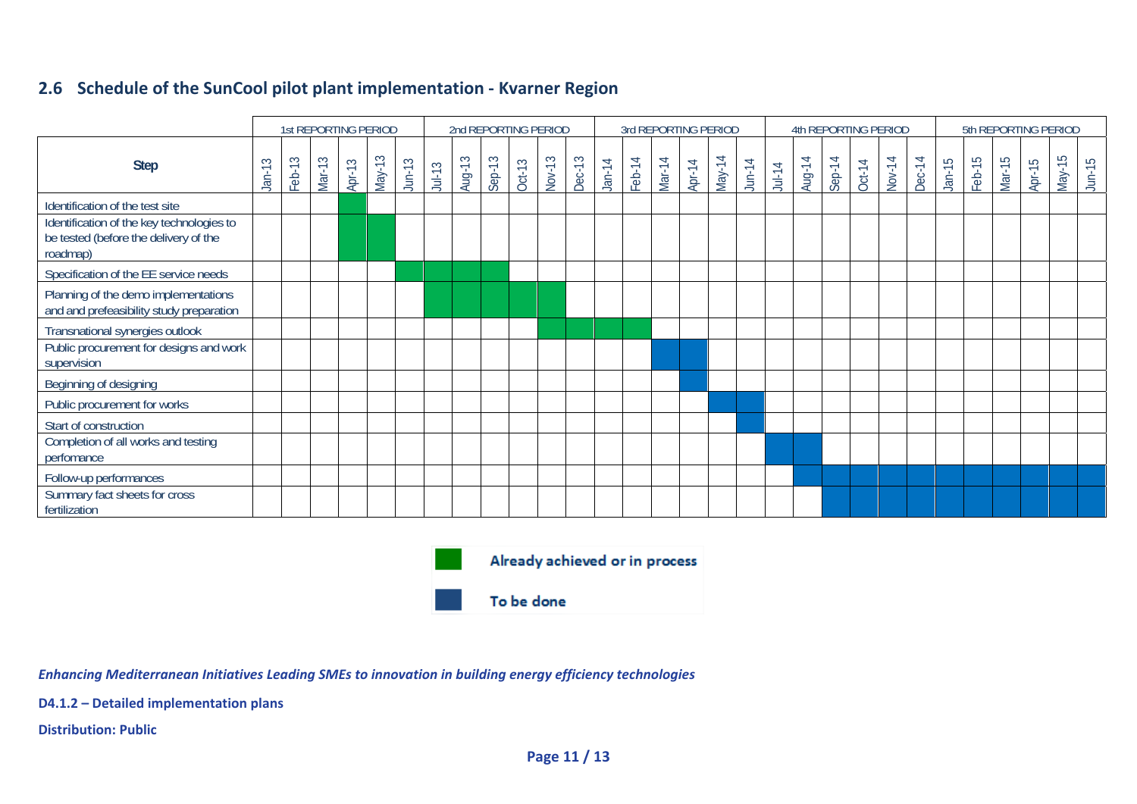#### **2.6 Schedule of the SunCool pilot plant implementation ‐ Kvarner Region**

|                                                                                                |                                             |        | 1st REPORTING PERIOD |        |          |           |          |        |        |        | 2nd REPORTING PERIOD |               |          |        |        |        | 3rd REPORTING PERIOD |           |          |        | 4th REPORTING PERIOD |               |        |               |          |        |        |        | 5th REPORTING PERIOD |           |
|------------------------------------------------------------------------------------------------|---------------------------------------------|--------|----------------------|--------|----------|-----------|----------|--------|--------|--------|----------------------|---------------|----------|--------|--------|--------|----------------------|-----------|----------|--------|----------------------|---------------|--------|---------------|----------|--------|--------|--------|----------------------|-----------|
| <b>Step</b>                                                                                    | S<br>$\overline{\phantom{0}}$<br><u>jar</u> | Feb-13 | Mar-13               | Apr-13 | $May-13$ | $J$ un-13 | $Jul-13$ | Aug-13 | Sep-13 | Oct-13 | Nov-13               | <b>Dec-13</b> | $Jan-14$ | Feb-14 | Mar-14 | Apr-14 | May-14               | $J$ un-14 | $Jul-14$ | Aug-14 | $Step-14$            | <b>Oct-14</b> | Nov-14 | <b>Dec-14</b> | $Jan-15$ | Feb-15 | Mar-15 | Apr-15 | $May-15$             | $J$ un-15 |
| Identification of the test site                                                                |                                             |        |                      |        |          |           |          |        |        |        |                      |               |          |        |        |        |                      |           |          |        |                      |               |        |               |          |        |        |        |                      |           |
| Identification of the key technologies to<br>be tested (before the delivery of the<br>roadmap) |                                             |        |                      |        |          |           |          |        |        |        |                      |               |          |        |        |        |                      |           |          |        |                      |               |        |               |          |        |        |        |                      |           |
| Specification of the EE service needs                                                          |                                             |        |                      |        |          |           |          |        |        |        |                      |               |          |        |        |        |                      |           |          |        |                      |               |        |               |          |        |        |        |                      |           |
| Planning of the demo implementations<br>and and prefeasibility study preparation               |                                             |        |                      |        |          |           |          |        |        |        |                      |               |          |        |        |        |                      |           |          |        |                      |               |        |               |          |        |        |        |                      |           |
| Transnational synergies outlook                                                                |                                             |        |                      |        |          |           |          |        |        |        |                      |               |          |        |        |        |                      |           |          |        |                      |               |        |               |          |        |        |        |                      |           |
| Public procurement for designs and work<br>supervision                                         |                                             |        |                      |        |          |           |          |        |        |        |                      |               |          |        |        |        |                      |           |          |        |                      |               |        |               |          |        |        |        |                      |           |
| Beginning of designing                                                                         |                                             |        |                      |        |          |           |          |        |        |        |                      |               |          |        |        |        |                      |           |          |        |                      |               |        |               |          |        |        |        |                      |           |
| Public procurement for works                                                                   |                                             |        |                      |        |          |           |          |        |        |        |                      |               |          |        |        |        |                      |           |          |        |                      |               |        |               |          |        |        |        |                      |           |
| Start of construction                                                                          |                                             |        |                      |        |          |           |          |        |        |        |                      |               |          |        |        |        |                      |           |          |        |                      |               |        |               |          |        |        |        |                      |           |
| Completion of all works and testing<br>perfomance                                              |                                             |        |                      |        |          |           |          |        |        |        |                      |               |          |        |        |        |                      |           |          |        |                      |               |        |               |          |        |        |        |                      |           |
| Follow-up performances                                                                         |                                             |        |                      |        |          |           |          |        |        |        |                      |               |          |        |        |        |                      |           |          |        |                      |               |        |               |          |        |        |        |                      |           |
| Summary fact sheets for cross<br>fertilization                                                 |                                             |        |                      |        |          |           |          |        |        |        |                      |               |          |        |        |        |                      |           |          |        |                      |               |        |               |          |        |        |        |                      |           |



*Enhancing Mediterranean Initiatives Leading SMEs to innovation in building energy efficiency technologies*

**D4.1.2 – Detailed implementation plans**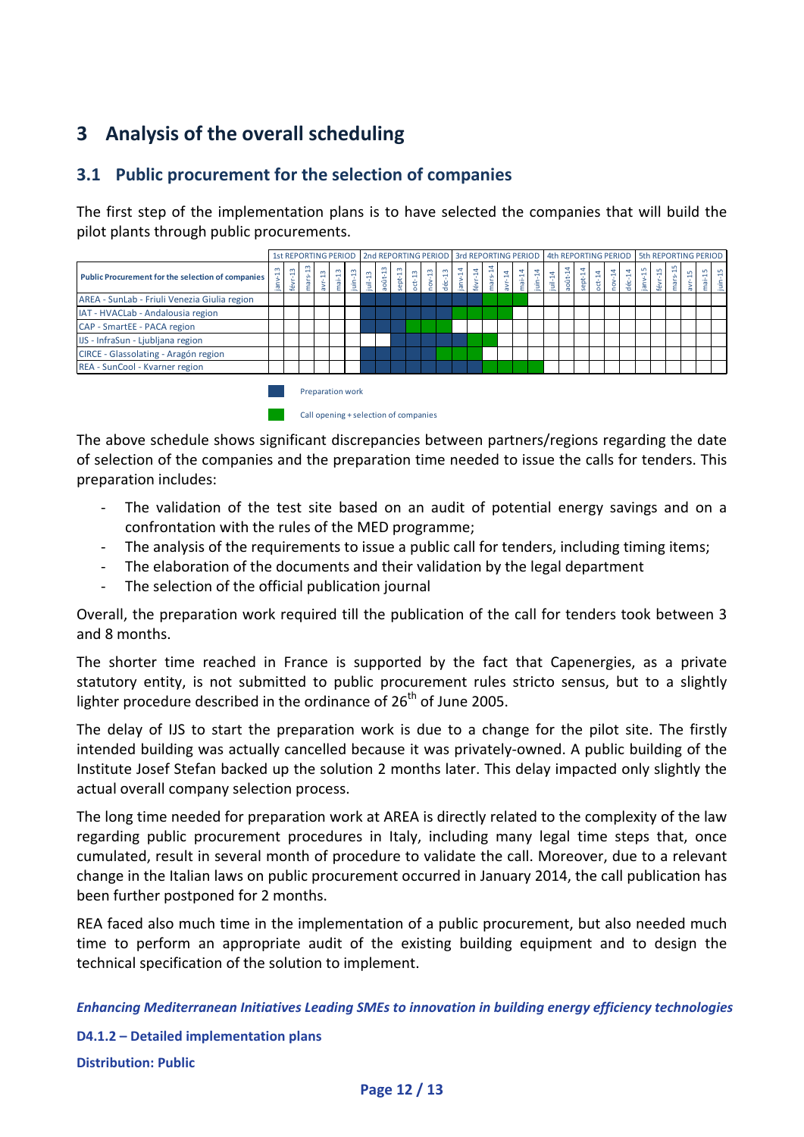# **3 Analysis of the overall scheduling**

#### **3.1 Public procurement for the selection of companies**

The first step of the implementation plans is to have selected the companies that will build the pilot plants through public procurements.

|                                                          |           |         |     |                |          |                                                           |         |            |       |          |          |          |            |                       |       |          |           |            |        |           |        |          |                       |          |            |           |                                   |         | 1st REPORTING PERIOD 2nd REPORTING PERIOD 3rd REPORTING PERIOD 4th REPORTING PERIOD 5th REPORTING PERIOD |                   |
|----------------------------------------------------------|-----------|---------|-----|----------------|----------|-----------------------------------------------------------|---------|------------|-------|----------|----------|----------|------------|-----------------------|-------|----------|-----------|------------|--------|-----------|--------|----------|-----------------------|----------|------------|-----------|-----------------------------------|---------|----------------------------------------------------------------------------------------------------------|-------------------|
| <b>Public Procurement for the selection of companies</b> | <b>CD</b> | ₽.<br>ē | mar | $\mathfrak{m}$ | $nai-13$ | $\frac{1}{3}$                                             | $u1-13$ | $a$ oût-13 | ept13 | $oct-13$ | $nov-13$ | $dec-13$ | $j$ anv-14 | $\mathbb{E}$<br>févr- | mars- | $avr-14$ | $mail-14$ | $j$ uin-14 | jul-14 | $a$ oût-1 | sept14 | $oct-14$ | $\frac{4}{7}$<br>nov- | $dec-14$ | $j$ anv-15 | $févr-15$ | $\overline{\phantom{0}}$<br>mars- | S<br>āν |                                                                                                          | mai-15<br>juin-15 |
| AREA - SunLab - Friuli Venezia Giulia region             |           |         |     |                |          |                                                           |         |            |       |          |          |          |            |                       |       |          |           |            |        |           |        |          |                       |          |            |           |                                   |         |                                                                                                          |                   |
| IAT - HVACLab - Andalousia region                        |           |         |     |                |          |                                                           |         |            |       |          |          |          |            |                       |       |          |           |            |        |           |        |          |                       |          |            |           |                                   |         |                                                                                                          |                   |
| CAP - SmartEE - PACA region                              |           |         |     |                |          |                                                           |         |            |       |          |          |          |            |                       |       |          |           |            |        |           |        |          |                       |          |            |           |                                   |         |                                                                                                          |                   |
| IJS - InfraSun - Ljubljana region                        |           |         |     |                |          |                                                           |         |            |       |          |          |          |            |                       |       |          |           |            |        |           |        |          |                       |          |            |           |                                   |         |                                                                                                          |                   |
| CIRCE - Glassolating - Aragón region                     |           |         |     |                |          |                                                           |         |            |       |          |          |          |            |                       |       |          |           |            |        |           |        |          |                       |          |            |           |                                   |         |                                                                                                          |                   |
| REA - SunCool - Kvarner region                           |           |         |     |                |          |                                                           |         |            |       |          |          |          |            |                       |       |          |           |            |        |           |        |          |                       |          |            |           |                                   |         |                                                                                                          |                   |
|                                                          |           |         |     |                |          | Preparation work<br>Call opening + selection of companies |         |            |       |          |          |          |            |                       |       |          |           |            |        |           |        |          |                       |          |            |           |                                   |         |                                                                                                          |                   |

The above schedule shows significant discrepancies between partners/regions regarding the date of selection of the companies and the preparation time needed to issue the calls for tenders. This preparation includes:

- The validation of the test site based on an audit of potential energy savings and on a confrontation with the rules of the MED programme;
- ‐ The analysis of the requirements to issue a public call for tenders, including timing items;
- The elaboration of the documents and their validation by the legal department
- ‐ The selection of the official publication journal

Overall, the preparation work required till the publication of the call for tenders took between 3 and 8 months.

The shorter time reached in France is supported by the fact that Capenergies, as a private statutory entity, is not submitted to public procurement rules stricto sensus, but to a slightly lighter procedure described in the ordinance of  $26<sup>th</sup>$  of June 2005.

The delay of IJS to start the preparation work is due to a change for the pilot site. The firstly intended building was actually cancelled because it was privately‐owned. A public building of the Institute Josef Stefan backed up the solution 2 months later. This delay impacted only slightly the actual overall company selection process.

The long time needed for preparation work at AREA is directly related to the complexity of the law regarding public procurement procedures in Italy, including many legal time steps that, once cumulated, result in several month of procedure to validate the call. Moreover, due to a relevant change in the Italian laws on public procurement occurred in January 2014, the call publication has been further postponed for 2 months.

REA faced also much time in the implementation of a public procurement, but also needed much time to perform an appropriate audit of the existing building equipment and to design the technical specification of the solution to implement.

*Enhancing Mediterranean Initiatives Leading SMEs to innovation in building energy efficiency technologies*

**D4.1.2 – Detailed implementation plans Distribution: Public**